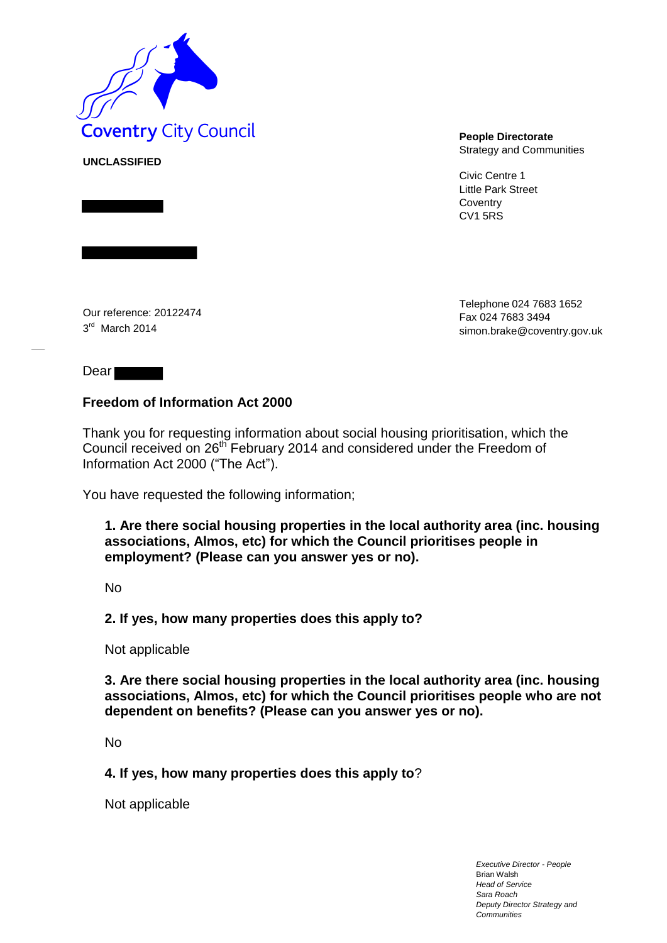

Strategy and Communities

Civic Centre 1 Little Park Street **Coventry** CV1 5RS

Our reference: 20122474 3<sup>rd</sup> March 2014

**UNCLASSIFIED**

Telephone 024 7683 1652 Fax 024 7683 3494 simon.brake@coventry.gov.uk

Dear

## **Freedom of Information Act 2000**

Thank you for requesting information about social housing prioritisation, which the Council received on 26<sup>th</sup> February 2014 and considered under the Freedom of Information Act 2000 ("The Act").

You have requested the following information;

**1. Are there social housing properties in the local authority area (inc. housing associations, Almos, etc) for which the Council prioritises people in employment? (Please can you answer yes or no).** 

No

## **2. If yes, how many properties does this apply to?**

Not applicable

**3. Are there social housing properties in the local authority area (inc. housing associations, Almos, etc) for which the Council prioritises people who are not dependent on benefits? (Please can you answer yes or no).** 

No

**4. If yes, how many properties does this apply to**?

Not applicable

*Executive Director - People* Brian Walsh *Head of Service Sara Roach Deputy Director Strategy and Communities*